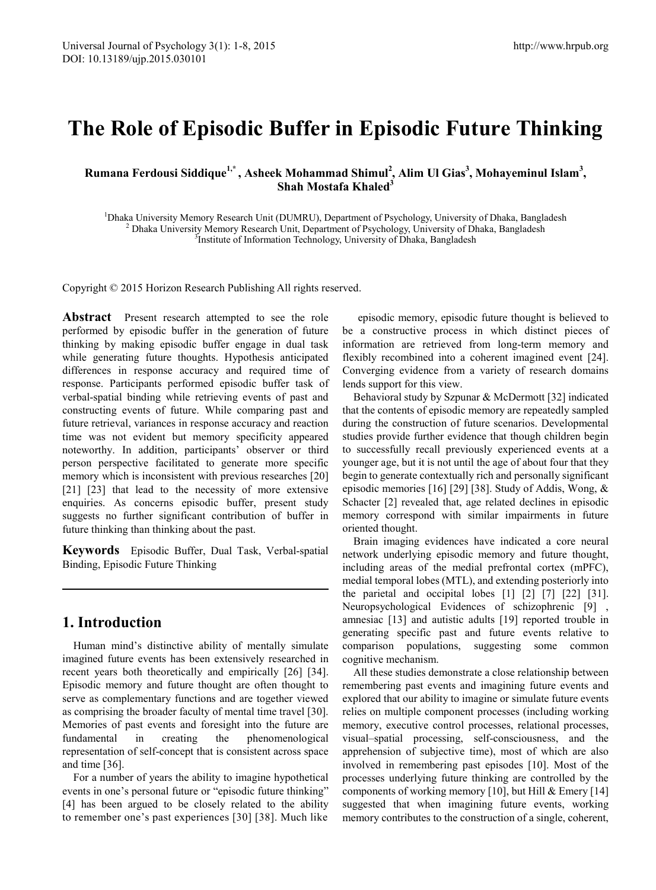# **The Role of Episodic Buffer in Episodic Future Thinking**

**Rumana Ferdousi Siddique1,\* , Asheek Mohammad Shimul2 , Alim Ul Gias<sup>3</sup> , Mohayeminul Islam<sup>3</sup> , Shah Mostafa Khaled3**

<sup>1</sup>Dhaka University Memory Research Unit (DUMRU), Department of Psychology, University of Dhaka, Bangladesh <sup>2</sup> Dhaka University Memory Research Unit, Department of Psychology, University of Dhaka, Bangladesh <sup>3</sup> Institute <sup>3</sup>Institute of Information Technology, University of Dhaka, Bangladesh

Copyright © 2015 Horizon Research Publishing All rights reserved.

**Abstract** Present research attempted to see the role performed by episodic buffer in the generation of future thinking by making episodic buffer engage in dual task while generating future thoughts. Hypothesis anticipated differences in response accuracy and required time of response. Participants performed episodic buffer task of verbal-spatial binding while retrieving events of past and constructing events of future. While comparing past and future retrieval, variances in response accuracy and reaction time was not evident but memory specificity appeared noteworthy. In addition, participants' observer or third person perspective facilitated to generate more specific memory which is inconsistent with previous researches [20] [21] [23] that lead to the necessity of more extensive enquiries. As concerns episodic buffer, present study suggests no further significant contribution of buffer in future thinking than thinking about the past.

**Keywords** Episodic Buffer, Dual Task, Verbal-spatial Binding, Episodic Future Thinking

# **1. Introduction**

Human mind's distinctive ability of mentally simulate imagined future events has been extensively researched in recent years both theoretically and empirically [26] [34]. Episodic memory and future thought are often thought to serve as complementary functions and are together viewed as comprising the broader faculty of mental time travel [30]. Memories of past events and foresight into the future are fundamental in creating the phenomenological representation of self-concept that is consistent across space and time [36].

For a number of years the ability to imagine hypothetical events in one's personal future or "episodic future thinking" [4] has been argued to be closely related to the ability to remember one's past experiences [30] [38]. Much like

episodic memory, episodic future thought is believed to be a constructive process in which distinct pieces of information are retrieved from long-term memory and flexibly recombined into a coherent imagined event [24]. Converging evidence from a variety of research domains lends support for this view.

Behavioral study by Szpunar & McDermott [32] indicated that the contents of episodic memory are repeatedly sampled during the construction of future scenarios. Developmental studies provide further evidence that though children begin to successfully recall previously experienced events at a younger age, but it is not until the age of about four that they begin to generate contextually rich and personally significant episodic memories [16] [29] [38]. Study of Addis, Wong, & Schacter [2] revealed that, age related declines in episodic memory correspond with similar impairments in future oriented thought.

Brain imaging evidences have indicated a core neural network underlying episodic memory and future thought, including areas of the medial prefrontal cortex (mPFC), medial temporal lobes (MTL), and extending posteriorly into the parietal and occipital lobes [1] [2] [7] [22] [31]. Neuropsychological Evidences of schizophrenic [9] , amnesiac [13] and autistic adults [19] reported trouble in generating specific past and future events relative to comparison populations, suggesting some common cognitive mechanism.

All these studies demonstrate a close relationship between remembering past events and imagining future events and explored that our ability to imagine or simulate future events relies on multiple component processes (including working memory, executive control processes, relational processes, visual–spatial processing, self-consciousness, and the apprehension of subjective time), most of which are also involved in remembering past episodes [10]. Most of the processes underlying future thinking are controlled by the components of working memory [10], but Hill  $& \text{Emery}$  [14] suggested that when imagining future events, working memory contributes to the construction of a single, coherent,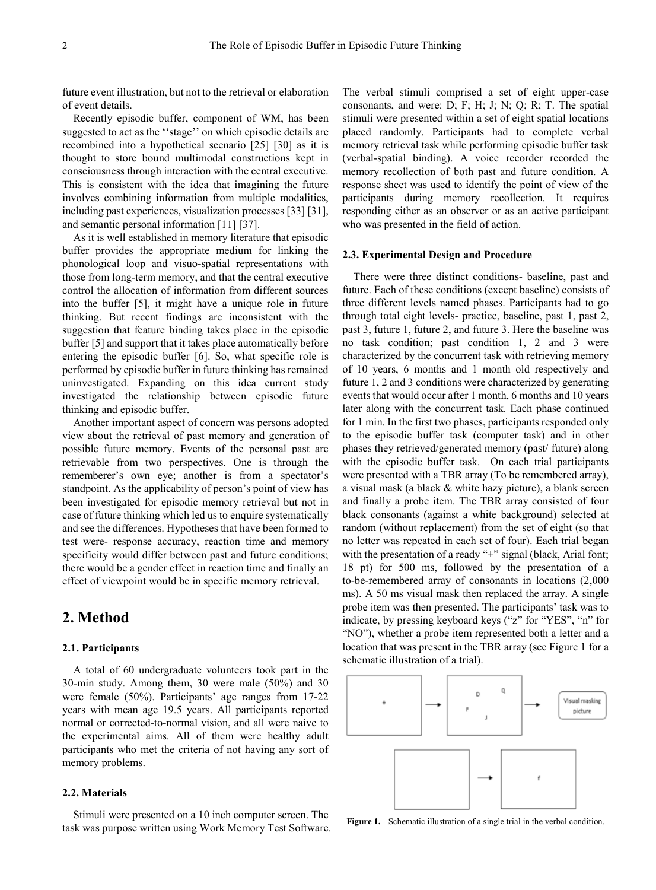future event illustration, but not to the retrieval or elaboration of event details.

Recently episodic buffer, component of WM, has been suggested to act as the ''stage'' on which episodic details are recombined into a hypothetical scenario [25] [30] as it is thought to store bound multimodal constructions kept in consciousness through interaction with the central executive. This is consistent with the idea that imagining the future involves combining information from multiple modalities, including past experiences, visualization processes [33] [31], and semantic personal information [11] [37].

As it is well established in memory literature that episodic buffer provides the appropriate medium for linking the phonological loop and visuo-spatial representations with those from long-term memory, and that the central executive control the allocation of information from different sources into the buffer [5], it might have a unique role in future thinking. But recent findings are inconsistent with the suggestion that feature binding takes place in the episodic buffer [5] and support that it takes place automatically before entering the episodic buffer [6]. So, what specific role is performed by episodic buffer in future thinking has remained uninvestigated. Expanding on this idea current study investigated the relationship between episodic future thinking and episodic buffer.

Another important aspect of concern was persons adopted view about the retrieval of past memory and generation of possible future memory. Events of the personal past are retrievable from two perspectives. One is through the rememberer's own eye; another is from a spectator's standpoint. As the applicability of person's point of view has been investigated for episodic memory retrieval but not in case of future thinking which led us to enquire systematically and see the differences. Hypotheses that have been formed to test were- response accuracy, reaction time and memory specificity would differ between past and future conditions; there would be a gender effect in reaction time and finally an effect of viewpoint would be in specific memory retrieval.

### **2. Method**

### **2.1. Participants**

A total of 60 undergraduate volunteers took part in the 30-min study. Among them, 30 were male (50%) and 30 were female (50%). Participants' age ranges from 17-22 years with mean age 19.5 years. All participants reported normal or corrected-to-normal vision, and all were naive to the experimental aims. All of them were healthy adult participants who met the criteria of not having any sort of memory problems.

### **2.2. Materials**

Stimuli were presented on a 10 inch computer screen. The task was purpose written using Work Memory Test Software. The verbal stimuli comprised a set of eight upper-case consonants, and were: D; F; H; J; N; Q; R; T. The spatial stimuli were presented within a set of eight spatial locations placed randomly. Participants had to complete verbal memory retrieval task while performing episodic buffer task (verbal-spatial binding). A voice recorder recorded the memory recollection of both past and future condition. A response sheet was used to identify the point of view of the participants during memory recollection. It requires responding either as an observer or as an active participant who was presented in the field of action.

#### **2.3. Experimental Design and Procedure**

There were three distinct conditions- baseline, past and future. Each of these conditions (except baseline) consists of three different levels named phases. Participants had to go through total eight levels- practice, baseline, past 1, past 2, past 3, future 1, future 2, and future 3. Here the baseline was no task condition; past condition 1, 2 and 3 were characterized by the concurrent task with retrieving memory of 10 years, 6 months and 1 month old respectively and future 1, 2 and 3 conditions were characterized by generating events that would occur after 1 month, 6 months and 10 years later along with the concurrent task. Each phase continued for 1 min. In the first two phases, participants responded only to the episodic buffer task (computer task) and in other phases they retrieved/generated memory (past/ future) along with the episodic buffer task. On each trial participants were presented with a TBR array (To be remembered array), a visual mask (a black & white hazy picture), a blank screen and finally a probe item. The TBR array consisted of four black consonants (against a white background) selected at random (without replacement) from the set of eight (so that no letter was repeated in each set of four). Each trial began with the presentation of a ready "+" signal (black, Arial font; 18 pt) for 500 ms, followed by the presentation of a to-be-remembered array of consonants in locations (2,000 ms). A 50 ms visual mask then replaced the array. A single probe item was then presented. The participants' task was to indicate, by pressing keyboard keys ("z" for "YES", "n" for "NO"), whether a probe item represented both a letter and a location that was present in the TBR array (see Figure 1 for a schematic illustration of a trial).



Figure 1. Schematic illustration of a single trial in the verbal condition.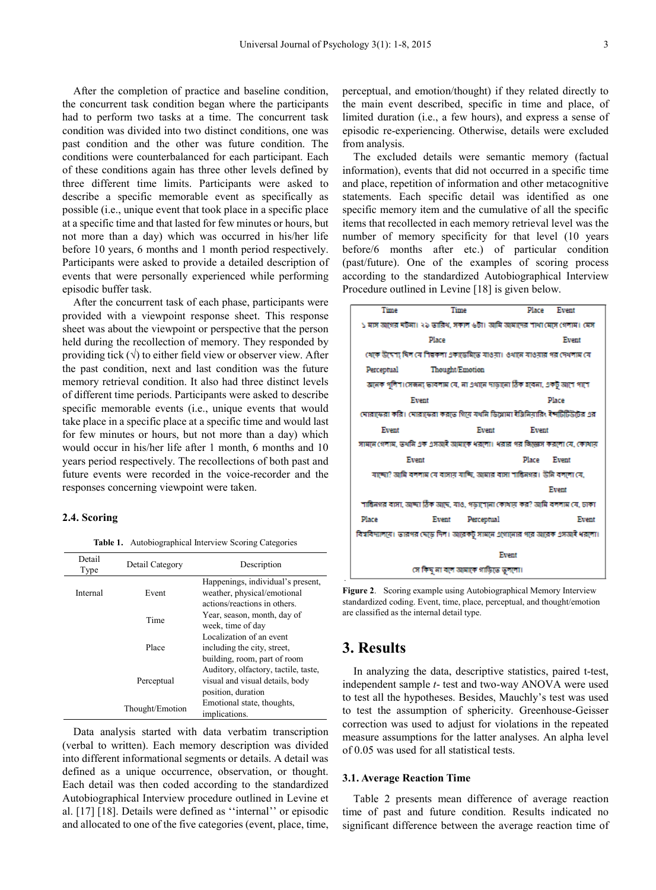After the completion of practice and baseline condition, the concurrent task condition began where the participants had to perform two tasks at a time. The concurrent task condition was divided into two distinct conditions, one was past condition and the other was future condition. The conditions were counterbalanced for each participant. Each of these conditions again has three other levels defined by three different time limits. Participants were asked to describe a specific memorable event as specifically as possible (i.e., unique event that took place in a specific place at a specific time and that lasted for few minutes or hours, but not more than a day) which was occurred in his/her life before 10 years, 6 months and 1 month period respectively. Participants were asked to provide a detailed description of events that were personally experienced while performing episodic buffer task.

After the concurrent task of each phase, participants were provided with a viewpoint response sheet. This response sheet was about the viewpoint or perspective that the person held during the recollection of memory. They responded by providing tick  $(\sqrt{})$  to either field view or observer view. After the past condition, next and last condition was the future memory retrieval condition. It also had three distinct levels of different time periods. Participants were asked to describe specific memorable events (i.e., unique events that would take place in a specific place at a specific time and would last for few minutes or hours, but not more than a day) which would occur in his/her life after 1 month, 6 months and 10 years period respectively. The recollections of both past and future events were recorded in the voice-recorder and the responses concerning viewpoint were taken.

### **2.4. Scoring**

**Table 1.** Autobiographical Interview Scoring Categories

| Detail<br>Type | Detail Category | Description                                                                                      |
|----------------|-----------------|--------------------------------------------------------------------------------------------------|
| Internal       | Event           | Happenings, individual's present,<br>weather, physical/emotional<br>actions/reactions in others. |
|                | Time            | Year, season, month, day of<br>week, time of day                                                 |
|                | Place           | Localization of an event<br>including the city, street,<br>building, room, part of room          |
|                | Perceptual      | Auditory, olfactory, tactile, taste,<br>visual and visual details, body<br>position, duration    |
|                | Thought/Emotion | Emotional state, thoughts,<br>implications.                                                      |

Data analysis started with data verbatim transcription (verbal to written). Each memory description was divided into different informational segments or details. A detail was defined as a unique occurrence, observation, or thought. Each detail was then coded according to the standardized Autobiographical Interview procedure outlined in Levine et al. [17] [18]. Details were defined as ''internal'' or episodic and allocated to one of the five categories (event, place, time,

perceptual, and emotion/thought) if they related directly to the main event described, specific in time and place, of limited duration (i.e., a few hours), and express a sense of episodic re-experiencing. Otherwise, details were excluded from analysis.

The excluded details were semantic memory (factual information), events that did not occurred in a specific time and place, repetition of information and other metacognitive statements. Each specific detail was identified as one specific memory item and the cumulative of all the specific items that recollected in each memory retrieval level was the number of memory specificity for that level (10 years before/6 months after etc.) of particular condition (past/future). One of the examples of scoring process according to the standardized Autobiographical Interview Procedure outlined in Levine [18] is given below.

| Time                                                                          | Time                               |            | Place        | Event |
|-------------------------------------------------------------------------------|------------------------------------|------------|--------------|-------|
| ১ মাস আগের ঘটনা। ২১ ভারিখ, সকাল ৬টা। আমি আমাদের শাখা মেসে গেলাম। মেস          |                                    |            |              |       |
|                                                                               | Place                              |            |              | Event |
| খেকে উদ্দেশ্য দিল যে শিল্পকলা একাডেমিডে যাওয়া। ওথানে যাওয়ার গর দেখলাম যে    |                                    |            |              |       |
| Perceptual                                                                    | <b>Thought/Emotion</b>             |            |              |       |
| আনক পুলিশ।সেজন্য ভাবলাম যে, না এথানে দাড়ানো ঠিক হবেনা, একটু আণে পাশে         |                                    |            |              |       |
|                                                                               | Event                              |            |              | Place |
| ঘোরাফেরা করি। ঘোরাফেরা করতে গিয়ে যথনি ডিগ্লোমা ইঞ্জিনিয়ারিং ইন্সটিটিউটের এর |                                    |            |              |       |
| Event                                                                         |                                    | Event      | Event        |       |
| সামৰে গেলাম, তথনি এক এসআই আমাকে ধরলো। ধরার পর জিন্তোস করলো যে, কোথায়         |                                    |            |              |       |
| Event                                                                         |                                    |            | <b>Place</b> | Exent |
| যাচ্ছো? আমি বললাম যে বাসায় যাচ্ছি, আমার বাসা শান্তিনগর। উনি বললো যে,         |                                    |            |              |       |
|                                                                               |                                    |            |              | Event |
| শান্তিনগর বাসা, আদ্দা ঠিক আছে, যাও, গডাশোনা কোখায় কর? আমি বললাম যে, ঢাকা     |                                    |            |              |       |
| Place                                                                         | Event                              | Perceptual |              | Event |
| বিখবিদ্যালয়ে। ভারপর ঘেড়ে দিল। আরেকটু সামনে এগোনোর পরে আরেক এসআই ধরলো।       |                                    |            |              |       |
|                                                                               |                                    | Event      |              |       |
|                                                                               | সে কিছু না বলে আমাকে গাড়িতে তললো। |            |              |       |

**Figure 2**. Scoring example using Autobiographical Memory Interview standardized coding. Event, time, place, perceptual, and thought/emotion are classified as the internal detail type.

# **3. Results**

.

In analyzing the data, descriptive statistics, paired t-test, independent sample *t*- test and two-way ANOVA were used to test all the hypotheses. Besides, Mauchly's test was used to test the assumption of sphericity. Greenhouse-Geisser correction was used to adjust for violations in the repeated measure assumptions for the latter analyses. An alpha level of 0.05 was used for all statistical tests.

#### **3.1. Average Reaction Time**

Table 2 presents mean difference of average reaction time of past and future condition. Results indicated no significant difference between the average reaction time of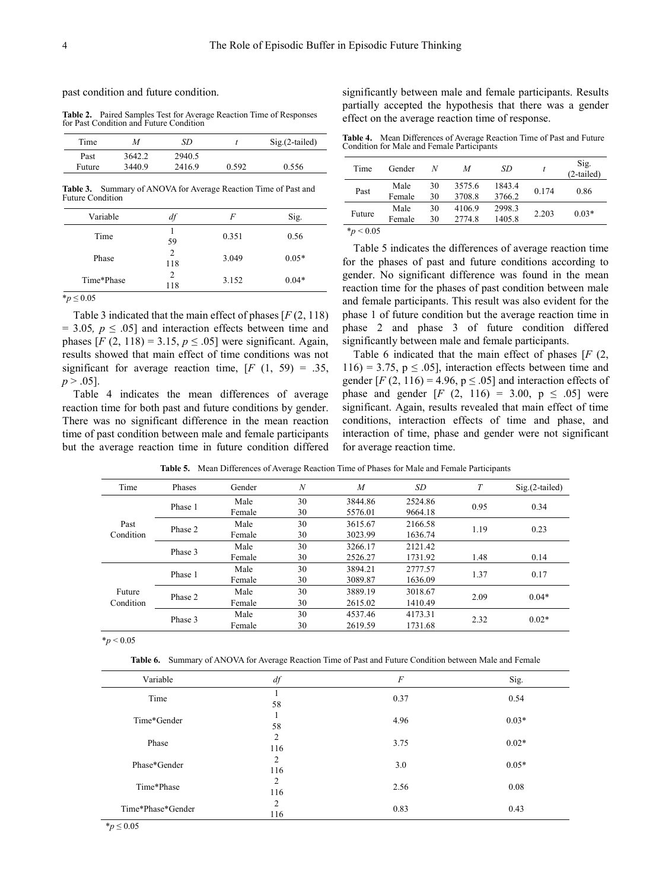past condition and future condition.

**Table 2.** Paired Samples Test for Average Reaction Time of Responses for Past Condition and Future Condition

| Time   | M      | SD.    |       | $Sig(2-tailed)$ |
|--------|--------|--------|-------|-----------------|
| Past   | 3642.2 | 2940.5 |       |                 |
| Future | 3440.9 | 2416.9 | 0.592 | 0.556           |

**Table 3.** Summary of ANOVA for Average Reaction Time of Past and Future Condition

| Variable   | df       | F     | Sig.    |
|------------|----------|-------|---------|
| Time       | 59       | 0.351 | 0.56    |
| Phase      | 2<br>118 | 3.049 | $0.05*$ |
| Time*Phase | 2<br>118 | 3.152 | $0.04*$ |

 $**p* ≤ 0.05$ 

Table 3 indicated that the main effect of phases [*F* (2, 118)  $= 3.05, p \leq .05$  and interaction effects between time and phases  $[F (2, 118) = 3.15, p \le .05]$  were significant. Again, results showed that main effect of time conditions was not significant for average reaction time,  $[F (1, 59) = .35,$  $p > .05$ ].

Table 4 indicates the mean differences of average reaction time for both past and future conditions by gender. There was no significant difference in the mean reaction time of past condition between male and female participants but the average reaction time in future condition differed

significantly between male and female participants. Results partially accepted the hypothesis that there was a gender effect on the average reaction time of response.

**Table 4.** Mean Differences of Average Reaction Time of Past and Future Condition for Male and Female Participants

| Time         | Gender | N  | M      | SD     |       | Sig.<br>$(2-tailed)$ |
|--------------|--------|----|--------|--------|-------|----------------------|
| Past         | Male   | 30 | 3575.6 | 1843.4 | 0.174 | 0.86                 |
|              | Female | 30 | 3708.8 | 3766.2 |       |                      |
| Future       | Male   | 30 | 4106.9 | 2998.3 | 2.203 | $0.03*$              |
|              | Female | 30 | 2774.8 | 1405.8 |       |                      |
| $*_p$ < 0.05 |        |    |        |        |       |                      |

Table 5 indicates the differences of average reaction time for the phases of past and future conditions according to gender. No significant difference was found in the mean reaction time for the phases of past condition between male and female participants. This result was also evident for the phase 1 of future condition but the average reaction time in phase 2 and phase 3 of future condition differed significantly between male and female participants.

Table 6 indicated that the main effect of phases [*F* (2,  $116$ ) = 3.75, p  $\leq$  0.05], interaction effects between time and gender  $[F(2, 116) = 4.96, p \le .05]$  and interaction effects of phase and gender  $[F (2, 116) = 3.00, p \le .05]$  were significant. Again, results revealed that main effect of time conditions, interaction effects of time and phase, and interaction of time, phase and gender were not significant for average reaction time.

| Time                 | Phases  | Gender | $\boldsymbol{N}$ | $\overline{M}$ | <b>SD</b> | T    | $Sig.(2-tailed)$ |
|----------------------|---------|--------|------------------|----------------|-----------|------|------------------|
|                      | Phase 1 | Male   | 30               | 3844.86        | 2524.86   |      | 0.34             |
|                      |         | Female | 30               | 5576.01        | 9664.18   | 0.95 |                  |
| Past                 |         | Male   | 30               | 3615.67        | 2166.58   | 1.19 | 0.23             |
| Phase 2<br>Condition | Female  | 30     | 3023.99          | 1636.74        |           |      |                  |
| Phase 3              |         | Male   | 30               | 3266.17        | 2121.42   |      |                  |
|                      |         | Female | 30               | 2526.27        | 1731.92   | 1.48 | 0.14             |
| Phase 1              |         | Male   | 30               | 3894.21        | 2777.57   | 1.37 | 0.17             |
|                      |         | Female | 30               | 3089.87        | 1636.09   |      |                  |
| Future               | Phase 2 | Male   | 30               | 3889.19        | 3018.67   | 2.09 | $0.04*$          |
| Condition            |         | Female | 30               | 2615.02        | 1410.49   |      |                  |
|                      | Phase 3 | Male   | 30               | 4537.46        | 4173.31   | 2.32 | $0.02*$          |
|                      |         | Female | 30               | 2619.59        | 1731.68   |      |                  |

**Table 5.** Mean Differences of Average Reaction Time of Phases for Male and Female Participants

\**p* < 0.05

**Table 6.** Summary of ANOVA for Average Reaction Time of Past and Future Condition between Male and Female

| $df\,$                | $\cal F$ | Sig.    |
|-----------------------|----------|---------|
| 58                    | 0.37     | 0.54    |
| 58                    | 4.96     | $0.03*$ |
| $\overline{2}$<br>116 | 3.75     | $0.02*$ |
| 2<br>116              | 3.0      | $0.05*$ |
| $\overline{2}$<br>116 | 2.56     | 0.08    |
| $\overline{c}$<br>116 | 0.83     | 0.43    |
|                       |          |         |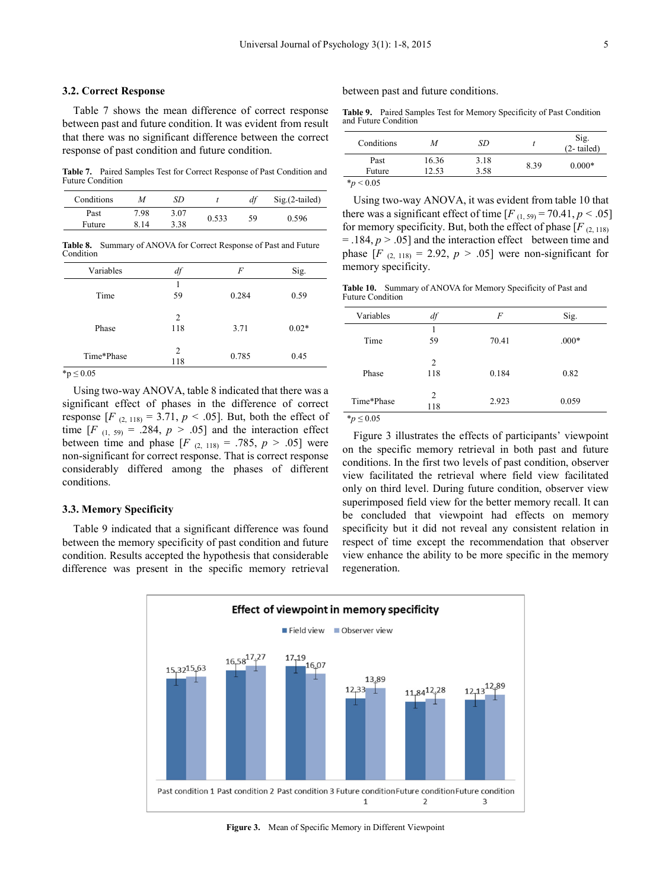#### **3.2. Correct Response**

Table 7 shows the mean difference of correct response between past and future condition. It was evident from result that there was no significant difference between the correct response of past condition and future condition.

**Table 7.** Paired Samples Test for Correct Response of Past Condition and Future Condition

| Conditions | M    | SD   |       |    | $Sig.(2-tailed)$ |
|------------|------|------|-------|----|------------------|
| Past       | 7.98 | 3.07 |       | 59 | 0.596            |
| Future     | 8 14 | 3.38 | 0.533 |    |                  |

**Table 8.** Summary of ANOVA for Correct Response of Past and Future Condition

| Variables      | df                    | F     | Sig.    |
|----------------|-----------------------|-------|---------|
| Time           | 59                    | 0.284 | 0.59    |
| Phase          | 2<br>118              | 3.71  | $0.02*$ |
| Time*Phase     | $\overline{c}$<br>118 | 0.785 | 0.45    |
| $*_{n}$ < 0.05 |                       |       |         |

\*p ≤ 0.05

Using two-way ANOVA, table 8 indicated that there was a significant effect of phases in the difference of correct response  $[F_{(2, 118)} = 3.71, p < .05]$ . But, both the effect of time  $[F_{(1, 59)} = .284, p > .05]$  and the interaction effect between time and phase  $[F_{(2, 118)} = .785, p > .05]$  were non-significant for correct response. That is correct response considerably differed among the phases of different conditions.

#### **3.3. Memory Specificity**

Table 9 indicated that a significant difference was found between the memory specificity of past condition and future condition. Results accepted the hypothesis that considerable difference was present in the specific memory retrieval

between past and future conditions.

**Table 9.** Paired Samples Test for Memory Specificity of Past Condition and Future Condition

| Conditions   | M     | SD   |      | Sig.<br>$(2-tailed)$ |  |
|--------------|-------|------|------|----------------------|--|
| Past         | 16.36 | 3.18 | 8.39 |                      |  |
| Future       | 12.53 | 3.58 |      | $0.000*$             |  |
| $*_p$ < 0.05 |       |      |      |                      |  |

Using two-way ANOVA, it was evident from table 10 that there was a significant effect of time  $[F_{(1, 59)} = 70.41, p < .05]$ for memory specificity. But, both the effect of phase  $[F_{(2, 118)}]$  $=$  .184,  $p > .05$ ] and the interaction effect between time and phase  $[F_{(2, 118)} = 2.92, p > .05]$  were non-significant for memory specificity.

**Table 10.** Summary of ANOVA for Memory Specificity of Past and Future Condition

| Variables  | df                    | F     | Sig.    |
|------------|-----------------------|-------|---------|
| Time       | 59                    | 70.41 | $.000*$ |
| Phase      | 2<br>118              | 0.184 | 0.82    |
| Time*Phase | $\overline{c}$<br>118 | 2.923 | 0.059   |
| .          |                       |       |         |

\**p* ≤ 0.05

Figure 3 illustrates the effects of participants' viewpoint on the specific memory retrieval in both past and future conditions. In the first two levels of past condition, observer view facilitated the retrieval where field view facilitated only on third level. During future condition, observer view superimposed field view for the better memory recall. It can be concluded that viewpoint had effects on memory specificity but it did not reveal any consistent relation in respect of time except the recommendation that observer view enhance the ability to be more specific in the memory regeneration.



**Figure 3.** Mean of Specific Memory in Different Viewpoint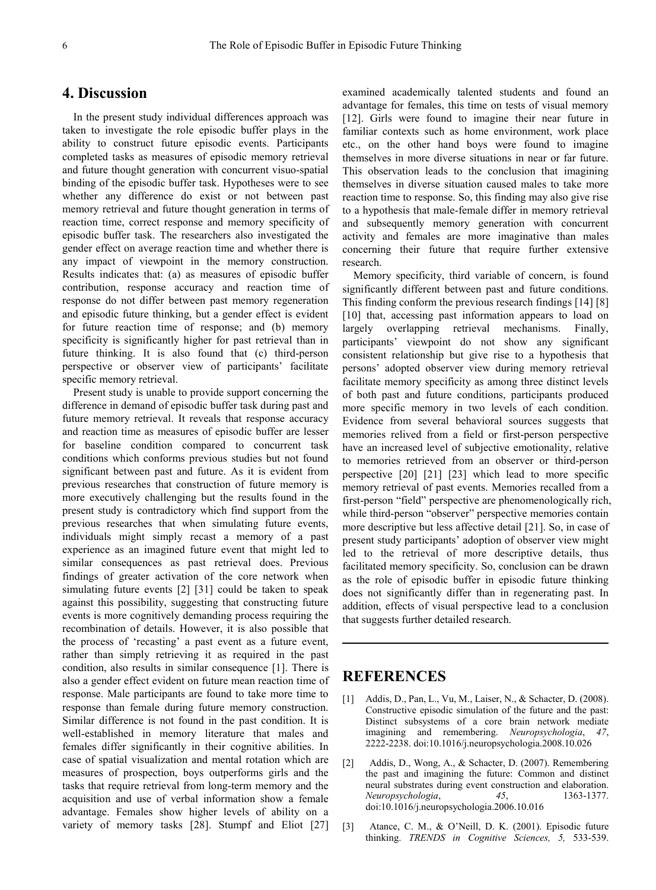## **4. Discussion**

In the present study individual differences approach was taken to investigate the role episodic buffer plays in the ability to construct future episodic events. Participants completed tasks as measures of episodic memory retrieval and future thought generation with concurrent visuo-spatial binding of the episodic buffer task. Hypotheses were to see whether any difference do exist or not between past memory retrieval and future thought generation in terms of reaction time, correct response and memory specificity of episodic buffer task. The researchers also investigated the gender effect on average reaction time and whether there is any impact of viewpoint in the memory construction. Results indicates that: (a) as measures of episodic buffer contribution, response accuracy and reaction time of response do not differ between past memory regeneration and episodic future thinking, but a gender effect is evident for future reaction time of response; and (b) memory specificity is significantly higher for past retrieval than in future thinking. It is also found that (c) third-person perspective or observer view of participants' facilitate specific memory retrieval.

Present study is unable to provide support concerning the difference in demand of episodic buffer task during past and future memory retrieval. It reveals that response accuracy and reaction time as measures of episodic buffer are lesser for baseline condition compared to concurrent task conditions which conforms previous studies but not found significant between past and future. As it is evident from previous researches that construction of future memory is more executively challenging but the results found in the present study is contradictory which find support from the previous researches that when simulating future events, individuals might simply recast a memory of a past experience as an imagined future event that might led to similar consequences as past retrieval does. Previous findings of greater activation of the core network when simulating future events [2] [31] could be taken to speak against this possibility, suggesting that constructing future events is more cognitively demanding process requiring the recombination of details. However, it is also possible that the process of 'recasting' a past event as a future event, rather than simply retrieving it as required in the past condition, also results in similar consequence [1]. There is also a gender effect evident on future mean reaction time of response. Male participants are found to take more time to response than female during future memory construction. Similar difference is not found in the past condition. It is well-established in memory literature that males and females differ significantly in their cognitive abilities. In case of spatial visualization and mental rotation which are measures of prospection, boys outperforms girls and the tasks that require retrieval from long-term memory and the acquisition and use of verbal information show a female advantage. Females show higher levels of ability on a variety of memory tasks [28]. Stumpf and Eliot [27]

examined academically talented students and found an advantage for females, this time on tests of visual memory [12]. Girls were found to imagine their near future in familiar contexts such as home environment, work place etc., on the other hand boys were found to imagine themselves in more diverse situations in near or far future. This observation leads to the conclusion that imagining themselves in diverse situation caused males to take more reaction time to response. So, this finding may also give rise to a hypothesis that male-female differ in memory retrieval and subsequently memory generation with concurrent activity and females are more imaginative than males concerning their future that require further extensive research.

Memory specificity, third variable of concern, is found significantly different between past and future conditions. This finding conform the previous research findings [14] [8] [10] that, accessing past information appears to load on largely overlapping retrieval mechanisms. Finally, participants' viewpoint do not show any significant consistent relationship but give rise to a hypothesis that persons' adopted observer view during memory retrieval facilitate memory specificity as among three distinct levels of both past and future conditions, participants produced more specific memory in two levels of each condition. Evidence from several behavioral sources suggests that memories relived from a field or first-person perspective have an increased level of subjective emotionality, relative to memories retrieved from an observer or third-person perspective [20] [21] [23] which lead to more specific memory retrieval of past events. Memories recalled from a first-person "field" perspective are phenomenologically rich, while third-person "observer" perspective memories contain more descriptive but less affective detail [21]. So, in case of present study participants' adoption of observer view might led to the retrieval of more descriptive details, thus facilitated memory specificity. So, conclusion can be drawn as the role of episodic buffer in episodic future thinking does not significantly differ than in regenerating past. In addition, effects of visual perspective lead to a conclusion that suggests further detailed research.

## **REFERENCES**

- [1] Addis, D., Pan, L., Vu, M., Laiser, N., & Schacter, D. (2008). Constructive episodic simulation of the future and the past: Distinct subsystems of a core brain network mediate imagining and remembering. *Neuropsychologia*, *47*, 2222-2238. doi:10.1016/j.neuropsychologia.2008.10.026
- [2] Addis, D., Wong, A., & Schacter, D. (2007). Remembering the past and imagining the future: Common and distinct neural substrates during event construction and elaboration. *Neuropsychologia*, *45*, 1363-1377. doi:10.1016/j.neuropsychologia.2006.10.016
- [3] Atance, C. M., & O'Neill, D. K. (2001). Episodic future thinking. *TRENDS in Cognitive Sciences, 5,* 533-539.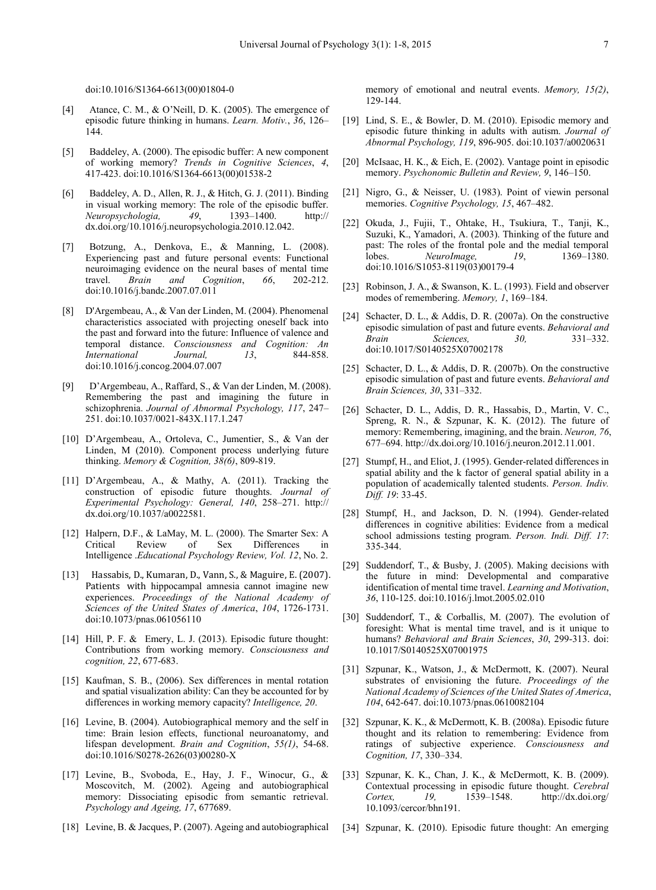- [4] Atance, C. M., & O'Neill, D. K. (2005). The emergence of episodic future thinking in humans. *Learn. Motiv.*, *36*, 126– 144.
- [5] Baddeley, A. (2000). The episodic buffer: A new component of working memory? *Trends in Cognitive Sciences*, *4*, 417-423. doi:10.1016/S1364-6613(00)01538-2
- [6] Baddeley, A. D., Allen, R. J., & Hitch, G. J. (2011). Binding in visual working memory: The role of the episodic buffer. *Neuropsychologia, 49*, 1393–1400. http:// dx.doi.org/10.1016/j.neuropsychologia.2010.12.042.
- [7] Botzung, A., Denkova, E., & Manning, L. (2008). Experiencing past and future personal events: Functional neuroimaging evidence on the neural bases of mental time<br>travel. Brain and Cognition, 66. 202-212. Brain and Cognition, 66, 202-212. doi:10.1016/j.bandc.2007.07.011
- [8] D'Argembeau, A., & Van der Linden, M. (2004). Phenomenal characteristics associated with projecting oneself back into the past and forward into the future: Influence of valence and temporal distance. *Consciousness and Cognition: An International Journal, 13*, 844-858. doi:10.1016/j.concog.2004.07.007
- [9] D'Argembeau, A., Raffard, S., & Van der Linden, M. (2008). Remembering the past and imagining the future in schizophrenia. *Journal of Abnormal Psychology, 117*, 247– 251. doi:10.1037/0021-843X.117.1.247
- [10] D'Argembeau, A., Ortoleva, C., Jumentier, S., & Van der Linden, M (2010). Component process underlying future thinking. *Memory & Cognition, 38(6)*, 809-819.
- [11] D'Argembeau, A., & Mathy, A. (2011). Tracking the construction of episodic future thoughts. *Journal of Experimental Psychology: General, 140*, 258–271. http:// dx.doi.org/10.1037/a0022581.
- [12] Halpern, D.F., & LaMay, M. L. (2000). The Smarter Sex: A Critical Review of Sex Differences in Intelligence .*Educational Psychology Review, Vol. 12*, No. 2.
- [13] Hassabis, D., Kumaran, D., Vann, S., & Maguire, E. (2007). Patients with hippocampal amnesia cannot imagine new experiences. *Proceedings of the National Academy of Sciences of the United States of America*, *104*, 1726-1731. doi:10.1073/pnas.061056110
- [14] Hill, P. F. & Emery, L. J. (2013). Episodic future thought: Contributions from working memory. *Consciousness and cognition, 22*, 677-683.
- [15] Kaufman, S. B., (2006). Sex differences in mental rotation and spatial visualization ability: Can they be accounted for by differences in working memory capacity? *Intelligence, 20*.
- [16] Levine, B. (2004). Autobiographical memory and the self in time: Brain lesion effects, functional neuroanatomy, and lifespan development. *Brain and Cognition*, *55(1)*, 54-68. doi:10.1016/S0278-2626(03)00280-X
- [17] Levine, B., Svoboda, E., Hay, J. F., Winocur, G., & Moscovitch, M. (2002). Ageing and autobiographical memory: Dissociating episodic from semantic retrieval. *Psychology and Ageing, 17*, 677689.
- [18] Levine, B. & Jacques, P. (2007). Ageing and autobiographical

memory of emotional and neutral events. *Memory, 15(2)*, 129-144.

- [19] Lind, S. E., & Bowler, D. M. (2010). Episodic memory and episodic future thinking in adults with autism. *Journal of Abnormal Psychology, 119*, 896-905. doi:10.1037/a0020631
- [20] McIsaac, H. K., & Eich, E. (2002). Vantage point in episodic memory. *Psychonomic Bulletin and Review, 9*, 146–150.
- [21] Nigro, G., & Neisser, U. (1983). Point of viewin personal memories. *Cognitive Psychology, 15*, 467–482.
- [22] Okuda, J., Fujii, T., Ohtake, H., Tsukiura, T., Tanji, K., Suzuki, K., Yamadori, A. (2003). Thinking of the future and past: The roles of the frontal pole and the medial temporal lobes. Neurolmage. 19, 1369–1380. lobes. *NeuroImage, 19*, 1369–1380. doi:10.1016/S1053-8119(03)00179-4
- [23] Robinson, J. A., & Swanson, K. L. (1993). Field and observer modes of remembering. *Memory, 1*, 169–184.
- [24] Schacter, D. L., & Addis, D. R. (2007a). On the constructive episodic simulation of past and future events. *Behavioral and Brain Sciences, 30,* 331–332. doi:10.1017/S0140525X07002178
- [25] Schacter, D. L., & Addis, D. R. (2007b). On the constructive episodic simulation of past and future events. *Behavioral and Brain Sciences, 30*, 331–332.
- [26] Schacter, D. L., Addis, D. R., Hassabis, D., Martin, V. C., Spreng, R. N., & Szpunar, K. K. (2012). The future of memory: Remembering, imagining, and the brain. *Neuron, 76*, 677–694. http://dx.doi.org/10.1016/j.neuron.2012.11.001.
- [27] Stumpf, H., and Eliot, J. (1995). Gender-related differences in spatial ability and the k factor of general spatial ability in a population of academically talented students. *Person. Indiv. Diff. 19*: 33-45.
- [28] Stumpf, H., and Jackson, D. N. (1994). Gender-related differences in cognitive abilities: Evidence from a medical school admissions testing program. *Person. Indi. Diff. 17*: 335-344.
- [29] Suddendorf, T., & Busby, J. (2005). Making decisions with the future in mind: Developmental and comparative identification of mental time travel. *Learning and Motivation*, *36*, 110-125. doi:10.1016/j.lmot.2005.02.010
- [30] Suddendorf, T., & Corballis, M. (2007). The evolution of foresight: What is mental time travel, and is it unique to humans? *Behavioral and Brain Sciences*, *30*, 299-313. doi: 10.1017/S0140525X07001975
- [31] Szpunar, K., Watson, J., & McDermott, K. (2007). Neural substrates of envisioning the future. *Proceedings of the National Academy of Sciences of the United States of America*, *104*, 642-647. doi:10.1073/pnas.0610082104
- [32] Szpunar, K. K., & McDermott, K. B. (2008a). Episodic future thought and its relation to remembering: Evidence from ratings of subjective experience. *Consciousness and Cognition, 17*, 330–334.
- [33] Szpunar, K. K., Chan, J. K., & McDermott, K. B. (2009). Contextual processing in episodic future thought. *Cerebral Cortex, 19,* 1539–1548. http://dx.doi.org/ 10.1093/cercor/bhn191.
- [34] Szpunar, K. (2010). Episodic future thought: An emerging